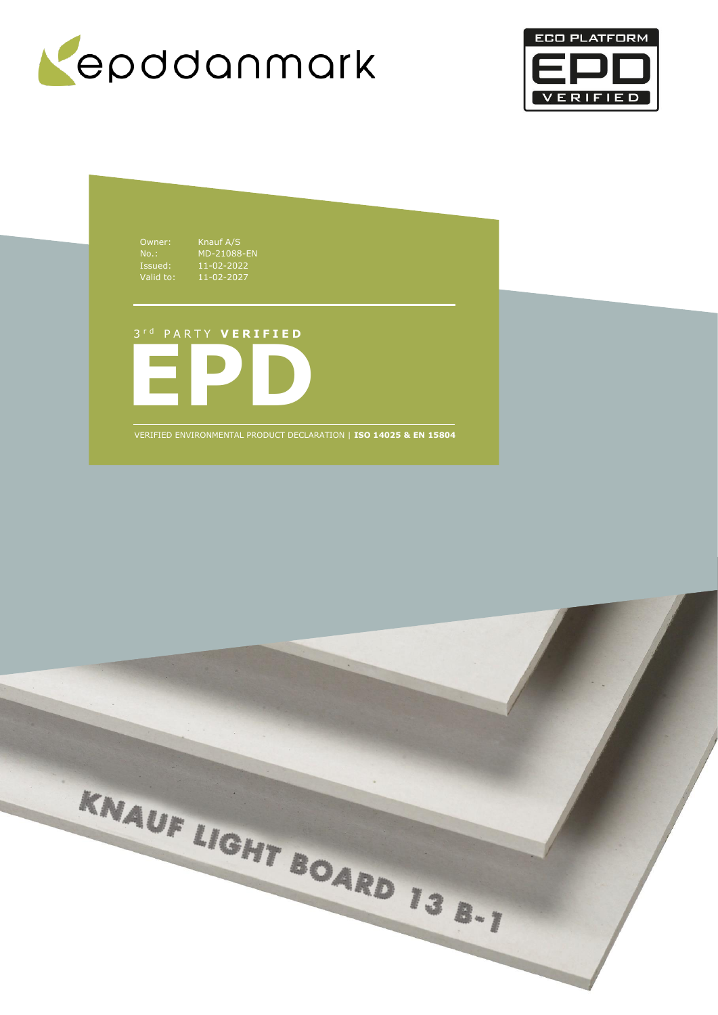



Owner: Knauf A/S Issued: 11-02-2022 Valid to: 11-02-2027

No.: MD-21088-EN

**EPD** 3 r d P A R T Y **V E R I F I E D**

VERIFIED ENVIRONMENTAL PRODUCT DECLARATION | **ISO 14025 & EN 15804**

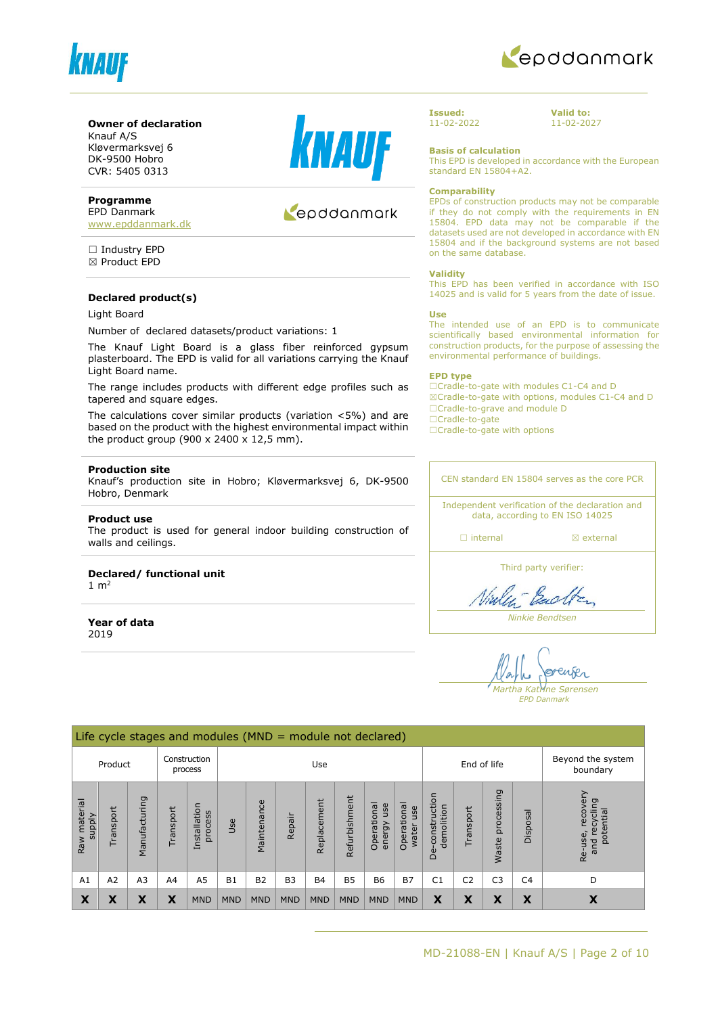



#### **Owner of declaration**

Knauf A/S Kløvermarksvej 6 DK-9500 Hobro CVR: 5405 0313

#### **Programme**

EPD Danmark [www.epddanmark.dk](http://www.epddanmark.dk/)

☐ Industry EPD ☒ Product EPD

#### **Declared product(s)**

#### Light Board

Number of declared datasets/product variations: 1

The Knauf Light Board is a glass fiber reinforced gypsum plasterboard. The EPD is valid for all variations carrying the Knauf Light Board name.

The range includes products with different edge profiles such as tapered and square edges.

The calculations cover similar products (variation <5%) and are based on the product with the highest environmental impact within the product group (900 x 2400 x 12,5 mm).

#### **Production site**

Knauf's production site in Hobro; Kløvermarksvej 6, DK-9500 Hobro, Denmark

#### **Product use**

The product is used for general indoor building construction of walls and ceilings.

#### **Declared/ functional unit**  $1 m<sup>2</sup>$

**Year of data** 2019



## epddanmark

**Issued:** 11-02-2022 **Valid to:** 11-02-2027

**Basis of calculation**

This EPD is developed in accordance with the European standard EN 15804+A2.

#### **Comparability**

EPDs of construction products may not be comparable if they do not comply with the requirements in EN 15804. EPD data may not be comparable if the datasets used are not developed in accordance with EN 15804 and if the background systems are not based on the same database.

#### **Validity**

This EPD has been verified in accordance with ISO 14025 and is valid for 5 years from the date of issue.

#### **Use**

The intended use of an EPD is to communicate scientifically based environmental information for construction products, for the purpose of assessing the environmental performance of buildings.

#### **EPD type**

☐Cradle-to-gate with modules C1-C4 and D ☒Cradle-to-gate with options, modules C1-C4 and D ☐Cradle-to-grave and module D ☐Cradle-to-gate

□Cradle-to-gate with options

CEN standard EN 15804 serves as the core PCR

Independent verification of the declaration and data, according to EN ISO 14025

□ internal **a** external

Third party verifier:

Viale - Bach

*Ninkie Bendtsen*

enser *Martha Katrine Sørensen*

*EPD Danmark*

|                                    | Life cycle stages and modules ( $MND =$ module not declared) |                |                |                         |            |             |                |             |               |                              |                               |                                 |                |                            |                |                                                      |
|------------------------------------|--------------------------------------------------------------|----------------|----------------|-------------------------|------------|-------------|----------------|-------------|---------------|------------------------------|-------------------------------|---------------------------------|----------------|----------------------------|----------------|------------------------------------------------------|
| Construction<br>Product<br>process |                                                              |                | Use            |                         |            |             |                | End of life |               |                              | Beyond the system<br>boundary |                                 |                |                            |                |                                                      |
| Raw material<br><b>Alddns</b>      | Transport                                                    | Manufacturing  | Transport      | Installation<br>process | Use        | Maintenance | Repair         | Replacement | Refurbishment | Operational<br>use<br>energy | Operational<br>use<br>water   | construction<br>demolition<br>Ö | Transport      | processing<br><b>Waste</b> | Disposal       | recovery<br>recycling<br>potential<br>Re-use,<br>and |
| A1                                 | A2                                                           | A <sub>3</sub> | A <sub>4</sub> | A <sub>5</sub>          | <b>B1</b>  | <b>B2</b>   | B <sub>3</sub> | <b>B4</b>   | <b>B5</b>     | <b>B6</b>                    | <b>B7</b>                     | C <sub>1</sub>                  | C <sub>2</sub> | C <sub>3</sub>             | C <sub>4</sub> | D                                                    |
| X                                  | X                                                            | Х              | Χ              | <b>MND</b>              | <b>MND</b> | <b>MND</b>  | <b>MND</b>     | <b>MND</b>  | <b>MND</b>    | <b>MND</b>                   | <b>MND</b>                    | X                               | X              | X                          | X              | X                                                    |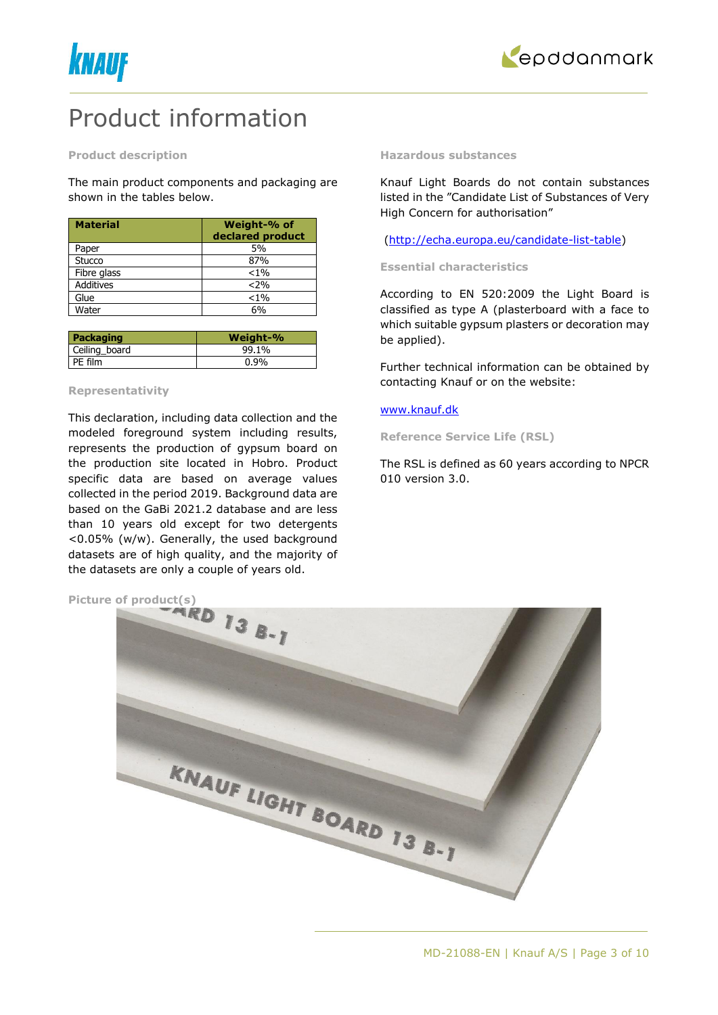



## Product information

#### **Product description**

The main product components and packaging are shown in the tables below.

| <b>Material</b>  | Weight-% of<br>declared product |
|------------------|---------------------------------|
| Paper            | 5%                              |
| Stucco           | 87%                             |
| Fibre glass      | $< 1\%$                         |
| <b>Additives</b> | $< 2\%$                         |
| Glue             | $< 1\%$                         |
| Water            | 6%                              |

| Packaging     | Weight-% |
|---------------|----------|
| Ceiling board | 99.1%    |
| PE film       | 0.9%     |

#### **Representativity**

This declaration, including data collection and the modeled foreground system including results, represents the production of gypsum board on the production site located in Hobro. Product specific data are based on average values collected in the period 2019. Background data are based on the GaBi 2021.2 database and are less than 10 years old except for two detergents <0.05% (w/w). Generally, the used background datasets are of high quality, and the majority of the datasets are only a couple of years old.

#### **Hazardous substances**

Knauf Light Boards do not contain substances listed in the "Candidate List of Substances of Very High Concern for authorisation"

[\(http://echa.europa.eu/candidate-list-table\)](http://echa.europa.eu/candidate-list-table)

#### **Essential characteristics**

According to EN 520:2009 the Light Board is classified as type A (plasterboard with a face to which suitable gypsum plasters or decoration may be applied).

Further technical information can be obtained by contacting Knauf or on the website:

#### [www.knauf.dk](http://www.knauf.dk/)

**Reference Service Life (RSL)**

The RSL is defined as 60 years according to NPCR 010 version 3.0.

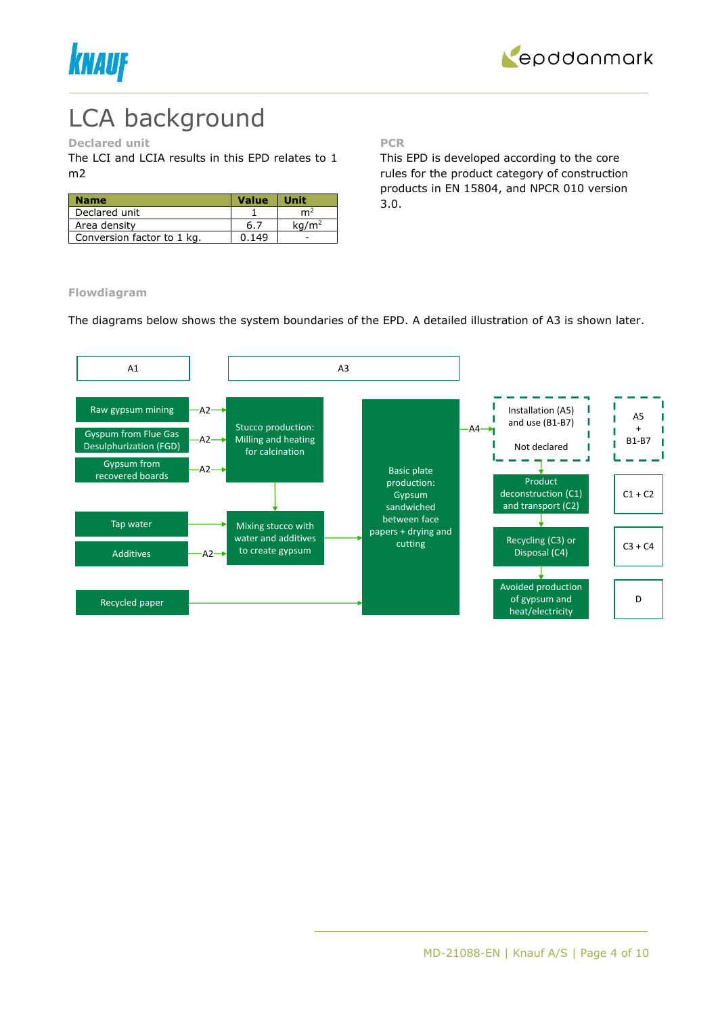



# LCA background

### **Declared unit**

The LCI and LCIA results in this EPD relates to 1 m2

| <b>Name</b>                | <b>Value</b> | <b>Unit</b>       |
|----------------------------|--------------|-------------------|
| Declared unit              |              | m٤                |
| Area density               | 6.7          | ka/m <sup>2</sup> |
| Conversion factor to 1 kg. | በ 149        |                   |

**PCR**

This EPD is developed according to the core rules for the product category of construction products in EN 15804, and NPCR 010 version 3.0.

**Flowdiagram**

The diagrams below shows the system boundaries of the EPD. A detailed illustration of A3 is shown later.

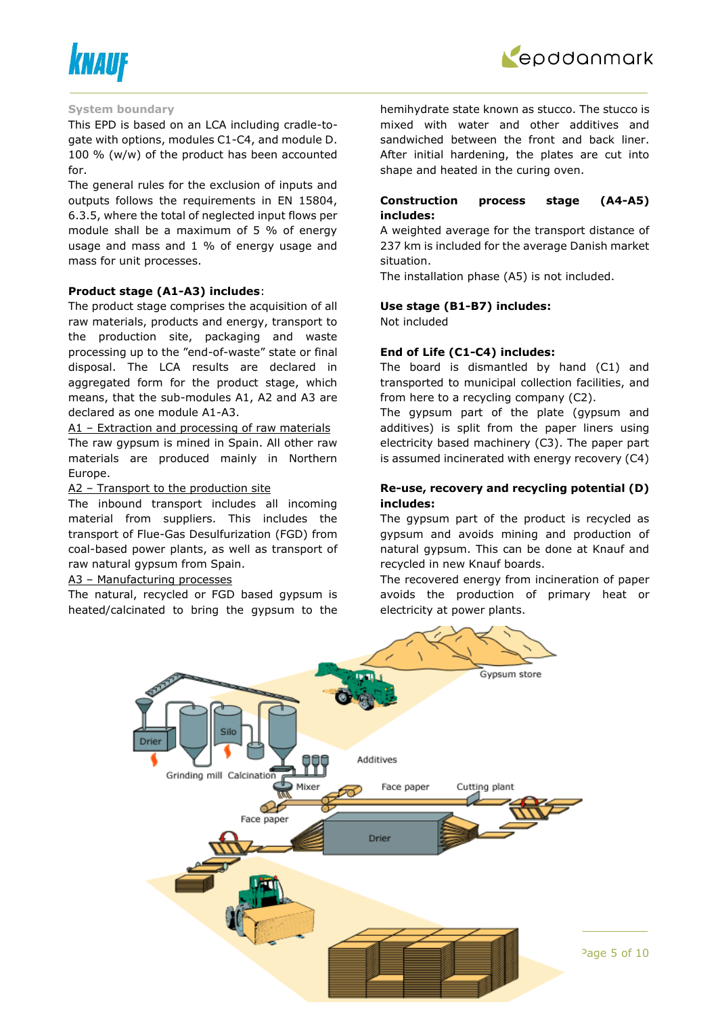



#### **System boundary**

This EPD is based on an LCA including cradle-togate with options, modules C1-C4, and module D. 100 % (w/w) of the product has been accounted for.

The general rules for the exclusion of inputs and outputs follows the requirements in EN 15804, 6.3.5, where the total of neglected input flows per module shall be a maximum of 5 % of energy usage and mass and 1 % of energy usage and mass for unit processes.

#### **Product stage (A1-A3) includes**:

The product stage comprises the acquisition of all raw materials, products and energy, transport to the production site, packaging and waste processing up to the "end-of-waste" state or final disposal. The LCA results are declared in aggregated form for the product stage, which means, that the sub-modules A1, A2 and A3 are declared as one module A1-A3.

A1 – Extraction and processing of raw materials The raw gypsum is mined in Spain. All other raw materials are produced mainly in Northern Europe.

#### A2 - Transport to the production site

The inbound transport includes all incoming material from suppliers. This includes the transport of Flue-Gas Desulfurization (FGD) from coal-based power plants, as well as transport of raw natural gypsum from Spain.

### A3 – Manufacturing processes

The natural, recycled or FGD based gypsum is heated/calcinated to bring the gypsum to the hemihydrate state known as stucco. The stucco is mixed with water and other additives and sandwiched between the front and back liner. After initial hardening, the plates are cut into shape and heated in the curing oven.

### **Construction process stage (A4-A5) includes:**

A weighted average for the transport distance of 237 km is included for the average Danish market situation.

The installation phase (A5) is not included.

#### **Use stage (B1-B7) includes:**

Not included

#### **End of Life (C1-C4) includes:**

The board is dismantled by hand (C1) and transported to municipal collection facilities, and from here to a recycling company (C2).

The gypsum part of the plate (gypsum and additives) is split from the paper liners using electricity based machinery (C3). The paper part is assumed incinerated with energy recovery (C4)

#### **Re-use, recovery and recycling potential (D) includes:**

The gypsum part of the product is recycled as gypsum and avoids mining and production of natural gypsum. This can be done at Knauf and recycled in new Knauf boards.

The recovered energy from incineration of paper avoids the production of primary heat or electricity at power plants.



Page  $5$  of  $10$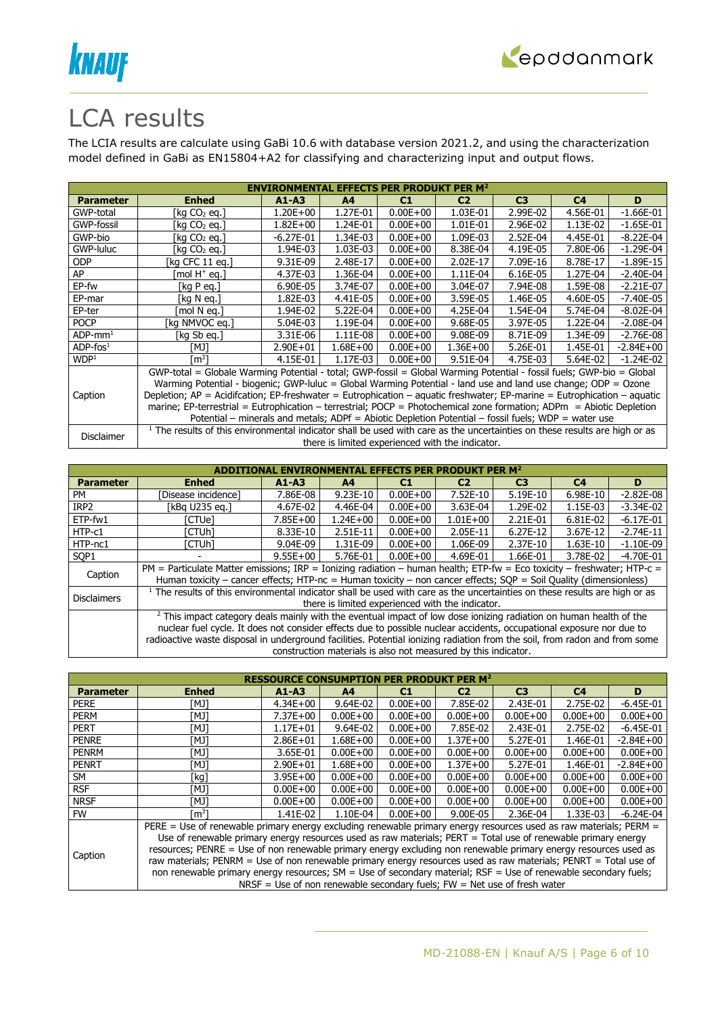



## LCA results

The LCIA results are calculate using GaBi 10.6 with database version 2021.2, and using the characterization model defined in GaBi as EN15804+A2 for classifying and characterizing input and output flows.

| <b>ENVIRONMENTAL EFFECTS PER PRODUKT PER M<sup>2</sup></b> |                                                                                                                                       |              |                |              |                                                  |                |                |               |  |  |
|------------------------------------------------------------|---------------------------------------------------------------------------------------------------------------------------------------|--------------|----------------|--------------|--------------------------------------------------|----------------|----------------|---------------|--|--|
| <b>Parameter</b>                                           | <b>Enhed</b>                                                                                                                          | $A1 - A3$    | A <sup>4</sup> | C1           | C <sub>2</sub>                                   | C <sub>3</sub> | C <sub>4</sub> | D             |  |  |
| GWP-total                                                  | [kg CO2 eg.]                                                                                                                          | 1.20E+00     | 1.27E-01       | $0.00E + 00$ | 1.03E-01                                         | 2.99E-02       | 4.56E-01       | $-1.66E-01$   |  |  |
| GWP-fossil                                                 | [kg CO2 eg.]                                                                                                                          | $1.82E + 00$ | 1.24E-01       | $0.00E + 00$ | 1.01E-01                                         | 2.96E-02       | 1.13E-02       | $-1.65E-01$   |  |  |
| GWP-bio                                                    | [kg CO2 eg.]                                                                                                                          | $-6.27E-01$  | 1.34E-03       | $0.00E + 00$ | 1.09E-03                                         | 2.52E-04       | 4.45E-01       | $-8.22E-04$   |  |  |
| GWP-luluc                                                  | [kg CO2 eg.]                                                                                                                          | 1.94E-03     | 1.03E-03       | $0.00E + 00$ | 8.38E-04                                         | 4.19E-05       | 7.80E-06       | $-1.29E-04$   |  |  |
| <b>ODP</b>                                                 | [kg CFC 11 eg.]                                                                                                                       | 9.31E-09     | 2.48E-17       | $0.00E + 00$ | 2.02E-17                                         | 7.09E-16       | 8.78E-17       | $-1.89E-15$   |  |  |
| AP                                                         | mol H <sup>+</sup> eq.1                                                                                                               | 4.37E-03     | 1.36E-04       | $0.00E + 00$ | 1.11E-04                                         | 6.16E-05       | 1.27E-04       | $-2.40E-04$   |  |  |
| EP-fw                                                      | [ $kgP$ eq.]                                                                                                                          | 6.90E-05     | 3.74E-07       | $0.00E + 00$ | 3.04E-07                                         | 7.94E-08       | 1.59E-08       | $-2.21E-07$   |  |  |
| EP-mar                                                     | [kg N eg.]                                                                                                                            | 1.82E-03     | 4.41E-05       | $0.00E + 00$ | 3.59E-05                                         | 1.46E-05       | 4.60E-05       | $-7.40E-05$   |  |  |
| EP-ter                                                     | [mol N ea.]                                                                                                                           | 1.94E-02     | 5.22E-04       | $0.00E + 00$ | 4.25E-04                                         | 1.54E-04       | 5.74E-04       | $-8.02E-04$   |  |  |
| <b>POCP</b>                                                | [kg NMVOC eg.]                                                                                                                        | 5.04E-03     | 1.19E-04       | $0.00E + 00$ | 9.68E-05                                         | 3.97E-05       | 1.22E-04       | $-2.08E - 04$ |  |  |
| $ADP$ -mm <sup>1</sup>                                     | [kg Sb eg.]                                                                                                                           | 3.31E-06     | 1.11E-08       | $0.00E + 00$ | 9.08E-09                                         | 8.71E-09       | 1.34E-09       | $-2.76E-08$   |  |  |
| $ADP$ -fos $1$                                             | TMJ1                                                                                                                                  | $2.90E + 01$ | $1.68E + 00$   | $0.00E + 00$ | $1.36E + 00$                                     | 5.26E-01       | 1.45E-01       | $-2.84E + 00$ |  |  |
| WDP <sup>1</sup>                                           | [m $^3$ ]                                                                                                                             | 4.15E-01     | 1.17E-03       | $0.00E + 00$ | 9.51E-04                                         | 4.75E-03       | 5.64E-02       | $-1.24E-02$   |  |  |
|                                                            | GWP-total = Globale Warming Potential - total; GWP-fossil = Global Warming Potential - fossil fuels; GWP-bio = Global                 |              |                |              |                                                  |                |                |               |  |  |
|                                                            | Warming Potential - biogenic; GWP-luluc = Global Warming Potential - land use and land use change; ODP = Ozone                        |              |                |              |                                                  |                |                |               |  |  |
| Caption                                                    | Depletion; $AP =$ Acidifcation; EP-freshwater = Eutrophication – aquatic freshwater; EP-marine = Eutrophication – aquatic             |              |                |              |                                                  |                |                |               |  |  |
|                                                            | marine; EP-terrestrial = Eutrophication - terrestrial; POCP = Photochemical zone formation; ADPm = Abiotic Depletion                  |              |                |              |                                                  |                |                |               |  |  |
|                                                            | Potential – minerals and metals; ADPf = Abiotic Depletion Potential – fossil fuels; WDP = water use                                   |              |                |              |                                                  |                |                |               |  |  |
|                                                            | <sup>1</sup> The results of this environmental indicator shall be used with care as the uncertainties on these results are high or as |              |                |              |                                                  |                |                |               |  |  |
| Disclaimer                                                 |                                                                                                                                       |              |                |              | there is limited experienced with the indicator. |                |                |               |  |  |

|                    |                                                                                                                                                                                                                                                                                                                                                                                     |              |                |              | ITAL EFFECTS PER PRODUKT PER $\mathsf{M}^2$                    |                |                |               |
|--------------------|-------------------------------------------------------------------------------------------------------------------------------------------------------------------------------------------------------------------------------------------------------------------------------------------------------------------------------------------------------------------------------------|--------------|----------------|--------------|----------------------------------------------------------------|----------------|----------------|---------------|
| <b>Parameter</b>   | <b>Enhed</b>                                                                                                                                                                                                                                                                                                                                                                        | $A1 - A3$    | A <sub>4</sub> | C1           | C <sub>2</sub>                                                 | C <sub>3</sub> | C <sub>4</sub> | D             |
| PM                 | Disease incidence1                                                                                                                                                                                                                                                                                                                                                                  | 7.86E-08     | $9.23E-10$     | $0.00E + 00$ | 7.52E-10                                                       | 5.19E-10       | 6.98E-10       | $-2.82E-08$   |
| IRP <sub>2</sub>   | [kBq U235 eq.]                                                                                                                                                                                                                                                                                                                                                                      | 4.67E-02     | 4.46E-04       | $0.00E + 00$ | 3.63E-04                                                       | 1.29E-02       | 1.15E-03       | $-3.34E-02$   |
| ETP-fw1            | [CTUe]                                                                                                                                                                                                                                                                                                                                                                              | $7.85E + 00$ | $1.24E + 00$   | $0.00E + 00$ | $1.01E + 00$                                                   | 2.21E-01       | 6.81E-02       | $-6.17E-01$   |
| HTP-c1             | [CTUh]                                                                                                                                                                                                                                                                                                                                                                              | 8.33E-10     | 2.51E-11       | $0.00E + 00$ | 2.05E-11                                                       | 6.27E-12       | 3.67E-12       | $-2.74E-11$   |
| HTP-nc1            | [CTUh]                                                                                                                                                                                                                                                                                                                                                                              | 9.04E-09     | 1.31E-09       | $0.00E + 00$ | 1.06E-09                                                       | 2.37E-10       | 1.63E-10       | $-1.10E-09$   |
| SOP <sub>1</sub>   |                                                                                                                                                                                                                                                                                                                                                                                     | $9.55E + 00$ | 5.76E-01       | $0.00E + 00$ | 4.69E-01                                                       | 1.66E-01       | 3.78E-02       | $-4.70E - 01$ |
| Caption            | PM = Particulate Matter emissions; IRP = Ionizing radiation - human health; ETP-fw = Eco toxicity - freshwater; HTP-c =<br>Human toxicity – cancer effects; HTP-nc = Human toxicity – non cancer effects; $SOP =$ Soil Quality (dimensionless)                                                                                                                                      |              |                |              |                                                                |                |                |               |
| <b>Disclaimers</b> | <sup>1</sup> The results of this environmental indicator shall be used with care as the uncertainties on these results are high or as                                                                                                                                                                                                                                               |              |                |              | there is limited experienced with the indicator.               |                |                |               |
|                    | <sup>2</sup> This impact category deals mainly with the eventual impact of low dose ionizing radiation on human health of the<br>nuclear fuel cycle. It does not consider effects due to possible nuclear accidents, occupational exposure nor due to<br>radioactive waste disposal in underground facilities. Potential ionizing radiation from the soil, from radon and from some |              |                |              |                                                                |                |                |               |
|                    |                                                                                                                                                                                                                                                                                                                                                                                     |              |                |              | construction materials is also not measured by this indicator. |                |                |               |

|                  | <b>RESSOURCE CONSUMPTION PER PRODUKT PER M<sup>2</sup></b>                                                        |                                                                                                                 |                |              |                                                                            |                |              |               |  |  |
|------------------|-------------------------------------------------------------------------------------------------------------------|-----------------------------------------------------------------------------------------------------------------|----------------|--------------|----------------------------------------------------------------------------|----------------|--------------|---------------|--|--|
| <b>Parameter</b> | <b>Enhed</b>                                                                                                      | $A1 - A3$                                                                                                       | A <sub>4</sub> | C1           | C <sub>2</sub>                                                             | C <sub>3</sub> | C4           | D             |  |  |
| <b>PERE</b>      | ונאז                                                                                                              | $4.34E + 00$                                                                                                    | 9.64E-02       | $0.00E + 00$ | 7.85E-02                                                                   | 2.43E-01       | 2.75E-02     | $-6.45E-01$   |  |  |
| <b>PERM</b>      | ונאז                                                                                                              | $7.37E + 00$                                                                                                    | $0.00E + 00$   | $0.00E + 00$ | $0.00E + 00$                                                               | $0.00E + 00$   | $0.00E + 00$ | $0.00E + 00$  |  |  |
| <b>PERT</b>      | [MJ]                                                                                                              | $1.17E + 01$                                                                                                    | 9.64E-02       | $0.00E + 00$ | 7.85E-02                                                                   | 2.43E-01       | 2.75E-02     | $-6.45E-01$   |  |  |
| <b>PENRE</b>     | ונאז                                                                                                              | $2.86E + 01$                                                                                                    | $1.68E + 00$   | $0.00E + 00$ | $1.37E + 00$                                                               | 5.27E-01       | 1.46E-01     | $-2.84E + 00$ |  |  |
| <b>PENRM</b>     | TMJ1                                                                                                              | 3.65E-01                                                                                                        | $0.00E + 00$   | $0.00E + 00$ | $0.00E + 00$                                                               | $0.00E + 00$   | $0.00E + 00$ | $0.00E + 00$  |  |  |
| <b>PENRT</b>     | [MJ]                                                                                                              | $2.90E + 01$                                                                                                    | $1.68E + 00$   | $0.00E + 00$ | $1.37E + 00$                                                               | 5.27E-01       | 1.46E-01     | $-2.84E+00$   |  |  |
| SM               | 「kg]                                                                                                              | $3.95E + 00$                                                                                                    | $0.00E + 00$   | $0.00E + 00$ | $0.00E + 00$                                                               | $0.00E + 00$   | $0.00E + 00$ | $0.00E + 00$  |  |  |
| <b>RSF</b>       | [MJ]                                                                                                              | $0.00E + 00$                                                                                                    | $0.00E + 00$   | $0.00E + 00$ | $0.00E + 00$                                                               | $0.00E + 00$   | $0.00E + 00$ | $0.00E + 00$  |  |  |
| <b>NRSF</b>      | [MJ]                                                                                                              | $0.00E + 00$                                                                                                    | $0.00E + 00$   | $0.00E + 00$ | $0.00E + 00$                                                               | $0.00E + 00$   | $0.00E + 00$ | $0.00E + 00$  |  |  |
| <b>FW</b>        | m <sup>3</sup> 1                                                                                                  | 1.41E-02                                                                                                        | 1.10E-04       | $0.00E + 00$ | 9.00E-05                                                                   | 2.36E-04       | 1.33E-03     | $-6.24E-04$   |  |  |
|                  | PERE = Use of renewable primary energy excluding renewable primary energy resources used as raw materials; PERM = |                                                                                                                 |                |              |                                                                            |                |              |               |  |  |
|                  | Use of renewable primary energy resources used as raw materials; PERT = Total use of renewable primary energy     |                                                                                                                 |                |              |                                                                            |                |              |               |  |  |
|                  |                                                                                                                   | resources; PENRE = Use of non renewable primary energy excluding non renewable primary energy resources used as |                |              |                                                                            |                |              |               |  |  |
| Caption          | raw materials; PENRM = Use of non renewable primary energy resources used as raw materials; PENRT = Total use of  |                                                                                                                 |                |              |                                                                            |                |              |               |  |  |
|                  | non renewable primary energy resources; SM = Use of secondary material; RSF = Use of renewable secondary fuels;   |                                                                                                                 |                |              |                                                                            |                |              |               |  |  |
|                  |                                                                                                                   |                                                                                                                 |                |              | NRSF = Use of non renewable secondary fuels; $FW = Net$ use of fresh water |                |              |               |  |  |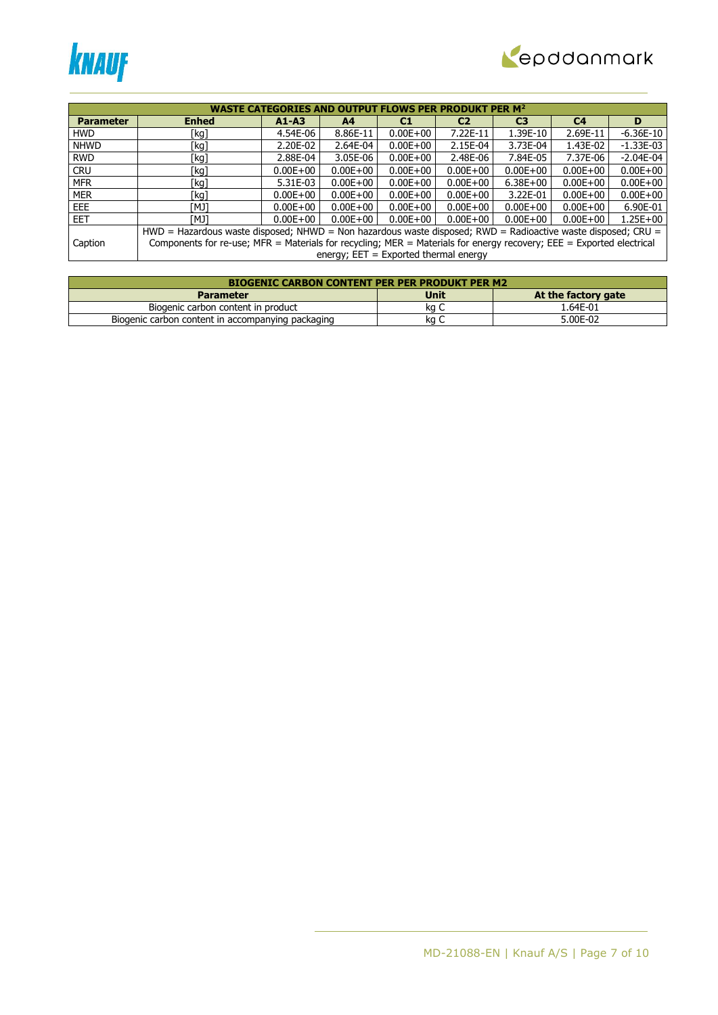



|                  |                                                                                                                      | <b>WASTE CATEGORIES AND OUTPUT FLOWS PER PRODUKT PER M<sup>2</sup></b> |                                         |              |                |                |                |              |
|------------------|----------------------------------------------------------------------------------------------------------------------|------------------------------------------------------------------------|-----------------------------------------|--------------|----------------|----------------|----------------|--------------|
| <b>Parameter</b> | <b>Enhed</b>                                                                                                         | $A1 - A3$                                                              | A <sub>4</sub>                          | C1           | C <sub>2</sub> | C <sub>3</sub> | C <sub>4</sub> | D            |
| <b>HWD</b>       | [kg]                                                                                                                 | 4.54E-06                                                               | 8.86E-11                                | $0.00E + 00$ | 7.22E-11       | 1.39E-10       | 2.69E-11       | $-6.36E-10$  |
| <b>NHWD</b>      | [kg]                                                                                                                 | 2.20E-02                                                               | 2.64E-04                                | $0.00E + 00$ | 2.15E-04       | 3.73E-04       | 1.43E-02       | $-1.33E-03$  |
| <b>RWD</b>       | [kg]                                                                                                                 | 2.88E-04                                                               | 3.05E-06                                | $0.00E + 00$ | 2.48E-06       | 7.84E-05       | 7.37E-06       | $-2.04E-04$  |
| <b>CRU</b>       | [kg]                                                                                                                 | $0.00E + 00$                                                           | $0.00E + 00$                            | $0.00E + 00$ | $0.00E + 00$   | $0.00E + 00$   | $0.00E + 00$   | $0.00E + 00$ |
| <b>MFR</b>       | [kg]                                                                                                                 | 5.31E-03                                                               | $0.00E + 00$                            | $0.00E + 00$ | $0.00E + 00$   | $6.38E + 00$   | $0.00E + 00$   | $0.00E + 00$ |
| <b>MER</b>       | [kg]                                                                                                                 | $0.00E + 00$                                                           | $0.00E + 00$                            | $0.00E + 00$ | $0.00E + 00$   | 3.22E-01       | $0.00E + 00$   | $0.00E + 00$ |
| EEE              | ונאז                                                                                                                 | $0.00E + 00$                                                           | $0.00E + 00$                            | $0.00E + 00$ | $0.00E + 00$   | $0.00E + 00$   | $0.00E + 00$   | 6.90E-01     |
| EET.             | ונאז                                                                                                                 | $0.00E + 00$                                                           | $0.00E + 00$                            | $0.00E + 00$ | $0.00E + 00$   | $0.00E + 00$   | $0.00E + 00$   | $1.25E + 00$ |
|                  | HWD = Hazardous waste disposed; NHWD = Non hazardous waste disposed; RWD = Radioactive waste disposed; CRU =         |                                                                        |                                         |              |                |                |                |              |
| Caption          | Components for re-use; MFR = Materials for recycling; MER = Materials for energy recovery; EEE = Exported electrical |                                                                        |                                         |              |                |                |                |              |
|                  |                                                                                                                      |                                                                        | energy; $EET = Exported thermal energy$ |              |                |                |                |              |

| <b>BIOGENIC CARBON CONTENT PER PER PRODUKT PER M2</b> |      |                     |  |  |  |  |  |  |
|-------------------------------------------------------|------|---------------------|--|--|--|--|--|--|
| <b>Parameter</b>                                      | Unit | At the factory gate |  |  |  |  |  |  |
| Biogenic carbon content in product                    | ka C | 1.64E-01            |  |  |  |  |  |  |
| Biogenic carbon content in accompanying packaging     | ka ' | 5.00E-02            |  |  |  |  |  |  |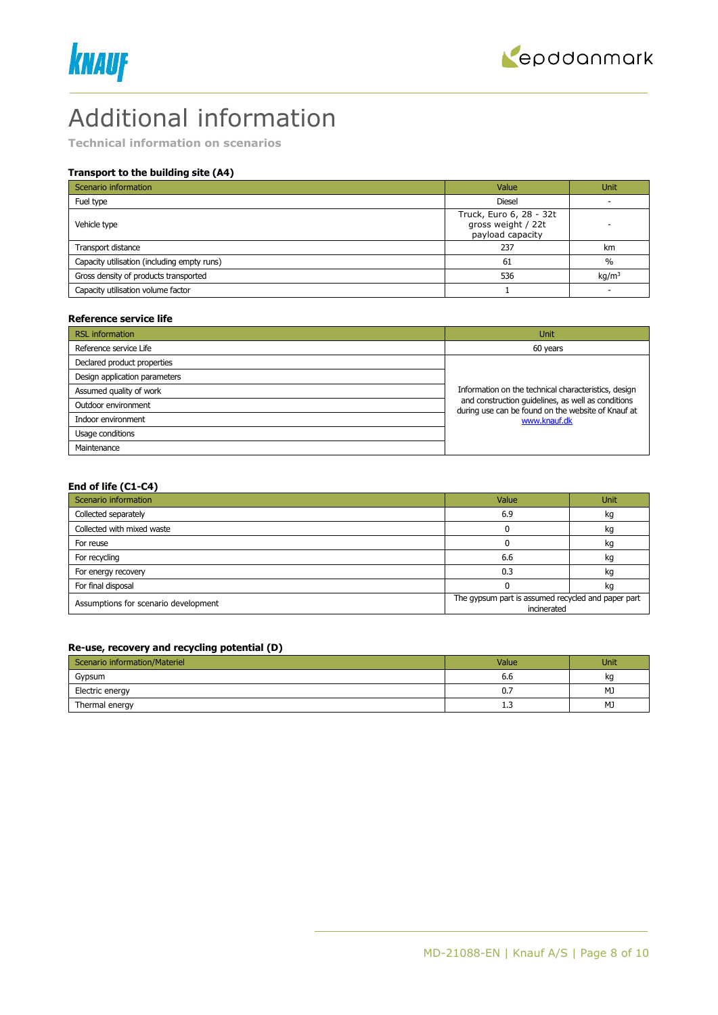



## Additional information

**Technical information on scenarios**

## **Transport to the building site (A4)**

| Scenario information                        | Value                                                             | <b>Unit</b>       |
|---------------------------------------------|-------------------------------------------------------------------|-------------------|
| Fuel type                                   | <b>Diesel</b>                                                     |                   |
| Vehicle type                                | Truck, Euro 6, 28 - 32t<br>gross weight / 22t<br>payload capacity |                   |
| Transport distance                          | 237                                                               | km                |
| Capacity utilisation (including empty runs) | 61                                                                | $\%$              |
| Gross density of products transported       | 536                                                               | kg/m <sup>3</sup> |
| Capacity utilisation volume factor          |                                                                   |                   |

#### **Reference service life**

| <b>RSL</b> information        | Unit                                                                                                     |
|-------------------------------|----------------------------------------------------------------------------------------------------------|
| Reference service Life        | 60 years                                                                                                 |
| Declared product properties   |                                                                                                          |
| Design application parameters |                                                                                                          |
| Assumed quality of work       | Information on the technical characteristics, design                                                     |
| Outdoor environment           | and construction quidelines, as well as conditions<br>during use can be found on the website of Knauf at |
| Indoor environment            | www.knauf.dk                                                                                             |
| Usage conditions              |                                                                                                          |
| Maintenance                   |                                                                                                          |

### **End of life (C1-C4)**

| Scenario information                 | Value                                                             | Unit |
|--------------------------------------|-------------------------------------------------------------------|------|
| Collected separately                 | 6.9                                                               | kg   |
| Collected with mixed waste           |                                                                   | kg   |
| For reuse                            |                                                                   | kq   |
| For recycling                        | 6.6                                                               | kg   |
| For energy recovery                  | 0.3                                                               | kq   |
| For final disposal                   |                                                                   | κg   |
| Assumptions for scenario development | The gypsum part is assumed recycled and paper part<br>incinerated |      |

#### **Re-use, recovery and recycling potential (D)**

| Scenario information/Materiel | Value | Unit |
|-------------------------------|-------|------|
| Gypsum                        | 6.6   | kq   |
| Electric energy               | 0.7   | MJ   |
| Thermal energy                | 1.3   | MJ   |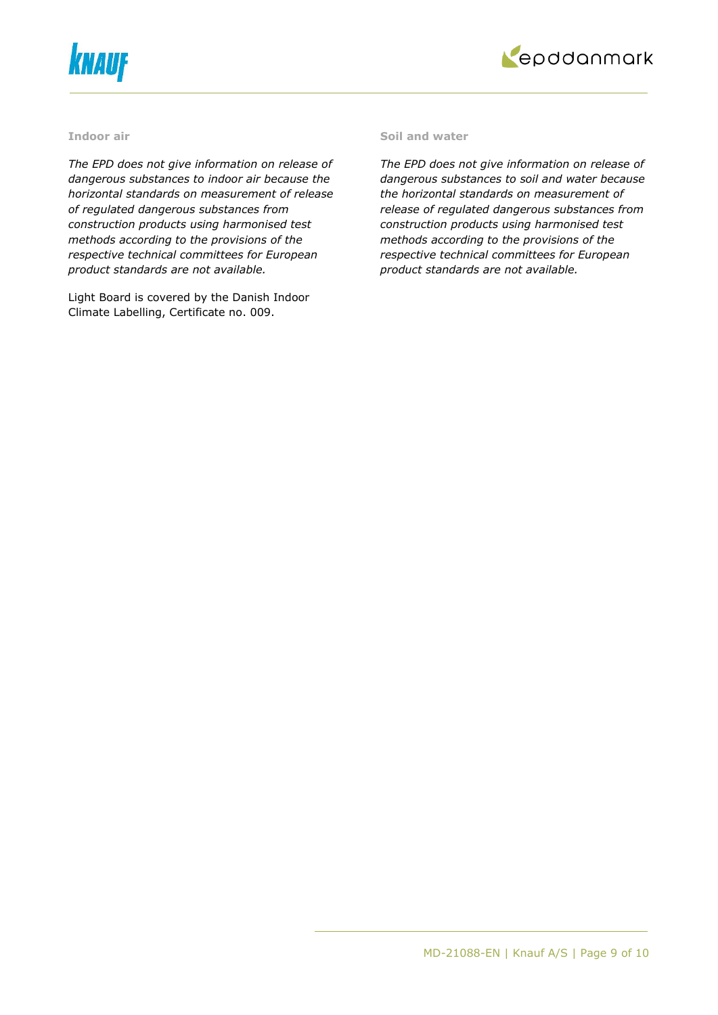



#### **Indoor air**

*The EPD does not give information on release of dangerous substances to indoor air because the horizontal standards on measurement of release of regulated dangerous substances from construction products using harmonised test methods according to the provisions of the respective technical committees for European product standards are not available.*

Light Board is covered by the Danish Indoor Climate Labelling, Certificate no. 009.

#### **Soil and water**

*The EPD does not give information on release of dangerous substances to soil and water because the horizontal standards on measurement of release of regulated dangerous substances from construction products using harmonised test methods according to the provisions of the respective technical committees for European product standards are not available.*